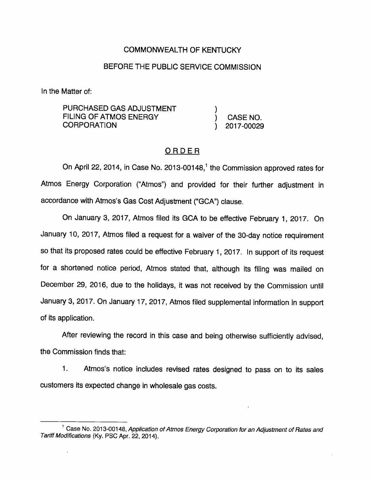## COMMONWEALTH OF KENTUCKY

## BEFORE THE PUBLIC SERVICE COMMISSION

In the Matter of:

PURCHASED GAS ADJUSTMENT FILING OF ATMOS ENERGY CORPORATION ) 2017-00029

# ORDER

On April 22, 2014, in Case No. 2013-00148, $<sup>1</sup>$  the Commission approved rates for</sup> Atmos Energy Corporation ("Atmos") and provided for their further adjustment in accordance with Atmos's Gas Cost Adjustment ("GCA") clause.

On January 3, 2017, Atmos filed its GCA to be effective February 1, 2017. On January 10, 2017, Atmos filed a request for a waiver of the 30-day notice requirement so that its proposed rates could be effective February 1, 2017. In support of its request for a shortened notice period, Atmos stated that, although its filing was mailed on December 29, 2016, due to the holidays, it was not received by the Commission until January 3, 2017. On January 17, 2017, Atmos filed supplemental information in support of its application.

After reviewing the record in this case and being otherwise sufficiently advised, the Commission finds that:

1. Atmos's notice includes revised rates designed to pass on to its sales customers its expected change in wholesale gas costs.

<sup>&</sup>lt;sup>1</sup> Case No. 2013-00148, Application of Atmos Energy Corporation for an Adjustment of Rates and Tariff Modifications (Ky. PSC Apr. 22, 2014).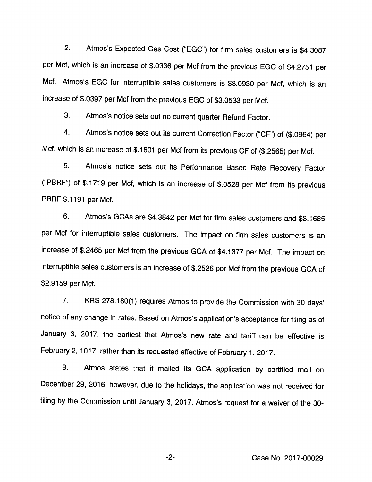2. Atmos's Expected Gas Cost ("EGC") for firm sales customers is \$4.3087 per Met, which is an increase of \$.0336 per Mcf from the previous EGG of \$4.2751 per Mcf. Atmos's EGG for interruptibie sales customers is \$3.0930 per Mcf, which is an increase of \$.0397 per Mcf from the previous EGG of \$3.0533 per Mcf.

3. Atmos's notice sets out no current quarter Refund Factor.

4. Atmos's notice sets out its current Correction Factor ("GF") of (\$.0964) per Mcf, which is an increase of \$.1601 per Mcf from its previous GF of (\$.2565) per Mcf.

5. Atmos's notice sets out its Performance Based Rate Recovery Factor ("PBRF") of \$.1719 per Mcf, which is an increase of \$.0528 per Mcf from its previous PBRF \$.1191 per Mcf.

6. Atmos's GGAs are \$4.3842 per Mcf for firm sales customers and \$3.1685 per Mcf for interruptibie sales customers. The impact on firm sales customers is an increase of \$.2465 per Mcf from the previous GGA of \$4.1377 per Mcf. The impact on interruptibie sales customers is an increase of \$.2526 per Mcf from the previous GGA of \$2.9159 per Mcf.

7. KRS 278.180(1) requires Atmos to provide the Gommission with 30 days' notice of any change in rates. Based on Atmos's application's acceptance for filing as of January 3, 2017, the earliest that Atmos's new rate and tariff can be effective is February 2, 1017, rather than its requested effective of February 1, 2017.

8. Atmos states that it mailed its GGA application by certified mail on December 29, 2016; however, due to the holidays, the application was not received for filing by the Gommission until January 3, 2017. Atmos's request for a waiver of the 30-

Gase No. 2017-00029

-2-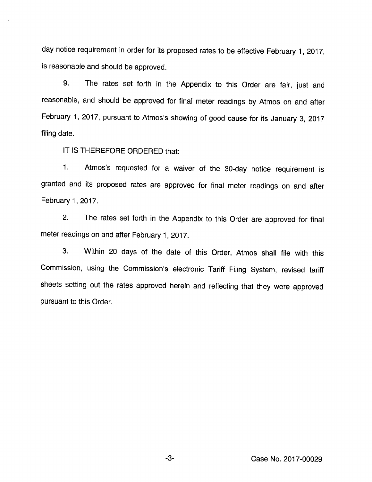day notice requirement in order for its proposed rates to be effective February 1, 2017, is reasonable and should be approved.

9. The rates set forth in the Appendix to this Order are fair, just and reasonable, and should be approved for final meter readings by Atmos on and after February 1, 2017, pursuant to Atmos's showing of good cause for its January 3, 2017 filing date.

IT IS THEREFORE ORDERED that:

1. Atmos's requested for a waiver of the 30-day notice requirement is granted and its proposed rates are approved for final meter readings on and after February 1, 2017.

2. The rates set forth in the Appendix to this Order are approved for final meter readings on and after February 1, 2017.

3. Within 20 days of the date of this Order, Atmos shall file with this Commission, using the Commission's electronic Tariff Filing System, revised tariff sheets setting out the rates approved herein and refiecting that they were approved pursuant to this Order.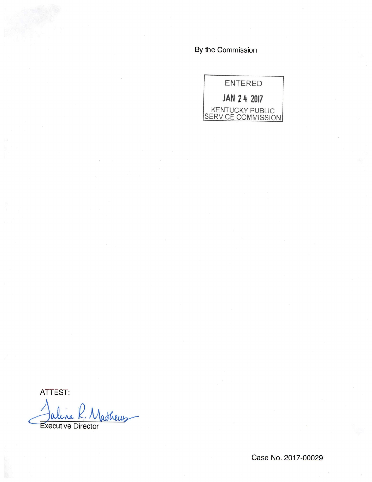By the Commission

ENTERED JAN 24 2017 KENTUCKY PUBLIC SERVICE COMMISSION

ATTEST:

thems **Executive Director** 

Case No. 2017-00029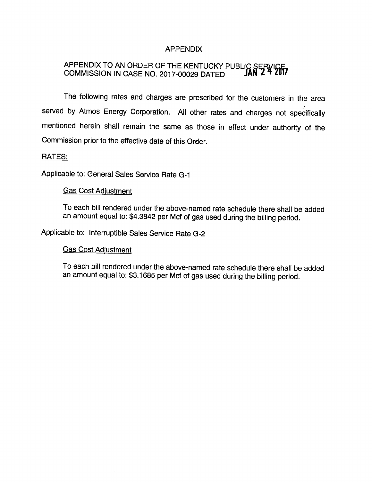### APPENDIX

## APPENDIX TO AN ORDER OF THE KENTUCKY PUBLI COMMISSION IN CASE NO. 2017-00029 DATED

The following rates and charges are prescribed for the customers in the area served by Atmos Energy Corporation. All other rates and charges not specifically mentioned herein shall remain the same as those in effect under authority of the Commission prior to the effective date of this Order.

#### RATES:

Applicable to: General Sales Service Rate G-1

### Gas Cost Adiustment

To each bill rendered under the above-named rate schedule there shall be added an amount equal to: \$4.3842 per Mcf of gas used during the billing period.

Applicable to: Interruptible Sales Service Rate G-2

#### Gas Cost Adiustment

To each bill rendered under the above-named rate schedule there shall be added an amount equal to: \$3.1685 per Mcf of gas used during the billing period.